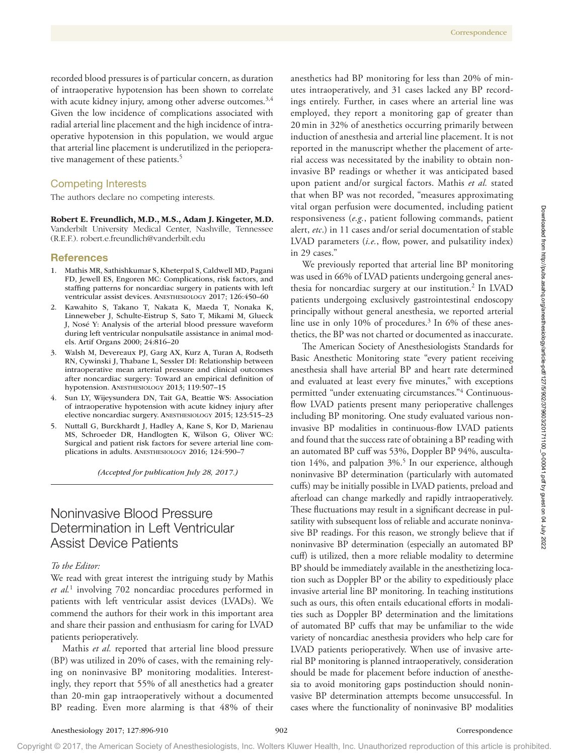recorded blood pressures is of particular concern, as duration of intraoperative hypotension has been shown to correlate with acute kidney injury, among other adverse outcomes.<sup>3,4</sup> Given the low incidence of complications associated with radial arterial line placement and the high incidence of intraoperative hypotension in this population, we would argue that arterial line placement is underutilized in the perioperative management of these patients.<sup>5</sup>

# Competing Interests

The authors declare no competing interests.

## Robert E. Freundlich, M.D., M.S., Adam J. Kingeter, M.D.

Vanderbilt University Medical Center, Nashville, Tennessee (R.E.F.). [robert.e.freundlich@vanderbilt.edu](mailto:￼robert.e.freundlich@vanderbilt.edu)

#### References

- 1. Mathis MR, Sathishkumar S, Kheterpal S, Caldwell MD, Pagani FD, Jewell ES, Engoren MC: Complications, risk factors, and staffing patterns for noncardiac surgery in patients with left ventricular assist devices. ANESTHESIOLOGY 2017; 126:450–60
- 2. Kawahito S, Takano T, Nakata K, Maeda T, Nonaka K, Linneweber J, Schulte-Eistrup S, Sato T, Mikami M, Glueck J, Nosé Y: Analysis of the arterial blood pressure waveform during left ventricular nonpulsatile assistance in animal models. Artif Organs 2000; 24:816–20
- 3. Walsh M, Devereaux PJ, Garg AX, Kurz A, Turan A, Rodseth RN, Cywinski J, Thabane L, Sessler DI: Relationship between intraoperative mean arterial pressure and clinical outcomes after noncardiac surgery: Toward an empirical definition of hypotension. ANESTHESIOLOGY 2013; 119:507–15
- 4. Sun LY, Wijeysundera DN, Tait GA, Beattie WS: Association of intraoperative hypotension with acute kidney injury after elective noncardiac surgery. ANESTHESIOLOGY 2015; 123:515–23
- 5. Nuttall G, Burckhardt J, Hadley A, Kane S, Kor D, Marienau MS, Schroeder DR, Handlogten K, Wilson G, Oliver WC: Surgical and patient risk factors for severe arterial line complications in adults. ANESTHESIOLOGY 2016; 124:590–7

*(Accepted for publication July 28, 2017.)*

# Noninvasive Blood Pressure Determination in Left Ventricular Assist Device Patients

# *To the Editor:*

We read with great interest the intriguing study by Mathis *et al.*<sup>1</sup> involving 702 noncardiac procedures performed in patients with left ventricular assist devices (LVADs). We commend the authors for their work in this important area and share their passion and enthusiasm for caring for LVAD patients perioperatively.

Mathis *et al.* reported that arterial line blood pressure (BP) was utilized in 20% of cases, with the remaining relying on noninvasive BP monitoring modalities. Interestingly, they report that 55% of all anesthetics had a greater than 20-min gap intraoperatively without a documented BP reading. Even more alarming is that 48% of their

anesthetics had BP monitoring for less than 20% of minutes intraoperatively, and 31 cases lacked any BP recordings entirely. Further, in cases where an arterial line was employed, they report a monitoring gap of greater than 20min in 32% of anesthetics occurring primarily between induction of anesthesia and arterial line placement. It is not reported in the manuscript whether the placement of arterial access was necessitated by the inability to obtain noninvasive BP readings or whether it was anticipated based upon patient and/or surgical factors. Mathis *et al.* stated that when BP was not recorded, "measures approximating vital organ perfusion were documented, including patient responsiveness (*e.g.*, patient following commands, patient alert, *etc*.) in 11 cases and/or serial documentation of stable LVAD parameters (*i.e.*, flow, power, and pulsatility index) in 29 cases."

We previously reported that arterial line BP monitoring was used in 66% of LVAD patients undergoing general anesthesia for noncardiac surgery at our institution.2 In LVAD patients undergoing exclusively gastrointestinal endoscopy principally without general anesthesia, we reported arterial line use in only 10% of procedures.<sup>3</sup> In 6% of these anesthetics, the BP was not charted or documented as inaccurate.

The American Society of Anesthesiologists Standards for Basic Anesthetic Monitoring state "every patient receiving anesthesia shall have arterial BP and heart rate determined and evaluated at least every five minutes," with exceptions permitted "under extenuating circumstances."4 Continuousflow LVAD patients present many perioperative challenges including BP monitoring. One study evaluated various noninvasive BP modalities in continuous-flow LVAD patients and found that the success rate of obtaining a BP reading with an automated BP cuff was 53%, Doppler BP 94%, auscultation 14%, and palpation 3%.5 In our experience, although noninvasive BP determination (particularly with automated cuffs) may be initially possible in LVAD patients, preload and afterload can change markedly and rapidly intraoperatively. These fluctuations may result in a significant decrease in pulsatility with subsequent loss of reliable and accurate noninvasive BP readings. For this reason, we strongly believe that if noninvasive BP determination (especially an automated BP cuff) is utilized, then a more reliable modality to determine BP should be immediately available in the anesthetizing location such as Doppler BP or the ability to expeditiously place invasive arterial line BP monitoring. In teaching institutions such as ours, this often entails educational efforts in modalities such as Doppler BP determination and the limitations of automated BP cuffs that may be unfamiliar to the wide variety of noncardiac anesthesia providers who help care for LVAD patients perioperatively. When use of invasive arterial BP monitoring is planned intraoperatively, consideration should be made for placement before induction of anesthesia to avoid monitoring gaps postinduction should noninvasive BP determination attempts become unsuccessful. In cases where the functionality of noninvasive BP modalities